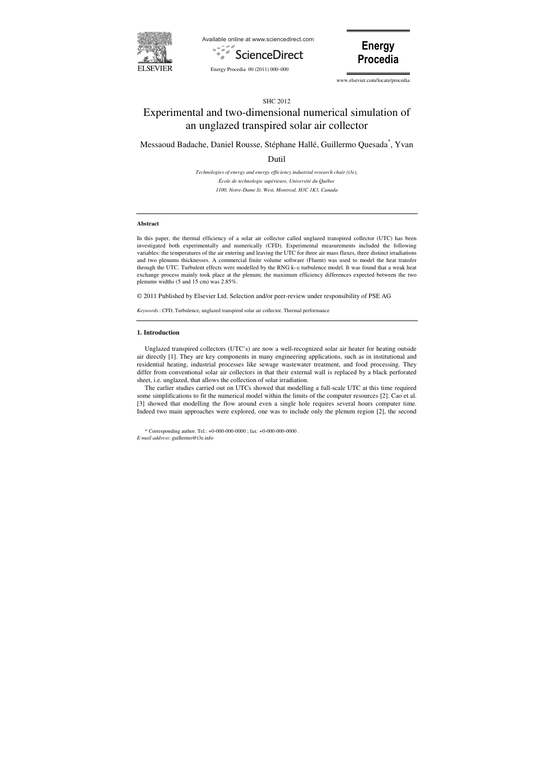





www.elsevier.com/locate/procedia

\* Corresponding author. Tel.: +0-000-000-0000 ; fax: +0-000-000-0000 . *E-mail address*: guillermo@t3e.info

# SHC 2012

# Experimental and two-dimensional numerical simulation of an unglazed transpired solar air collector

Messaoud Badache, Daniel Rousse, Stéphane Hallé, Guillermo Quesada\* , Yvan

Dutil

*Technologies of energy and energy efficiency industrial research chair (t3e), École de technologie supérieure, Université du Québec 1100, Notre-Dame St. West, Montreal, H3C 1K3, Canada* 

#### **Abstract**

In this paper, the thermal efficiency of a solar air collector called unglazed transpired collector (UTC) has been investigated both experimentally and numerically (CFD). Experimental measurements included the following variables: the temperatures of the air entering and leaving the UTC for three air mass fluxes, three distinct irradiations and two plenums thicknesses. A commercial finite volume software (Fluent) was used to model the heat transfer through the UTC. Turbulent effects were modelled by the RNG k–ε turbulence model. It was found that a weak heat exchange process mainly took place at the plenum; the maximum efficiency differences expected between the two plenums widths (5 and 15 cm) was 2.85%.

© 2011 Published by Elsevier Ltd. Selection and/or peer-review under responsibility of PSE AG

*Keywords* : CFD, Turbulence, unglazed transpired solar air collector, Thermal performance

#### **1. Introduction**

Unglazed transpired collectors (UTC's) are now a well-recognized solar air heater for heating outside air directly [1]. They are key components in many engineering applications, such as in institutional and residential heating, industrial processes like sewage wastewater treatment, and food processing. They differ from conventional solar air collectors in that their external wall is replaced by a black perforated sheet, i.e. unglazed, that allows the collection of solar irradiation.

The earlier studies carried out on UTCs showed that modelling a full-scale UTC at this time required some simplifications to fit the numerical model within the limits of the computer resources [2]. Cao et al. [3] showed that modelling the flow around even a single hole requires several hours computer time. Indeed two main approaches were explored, one was to include only the plenum region [2], the second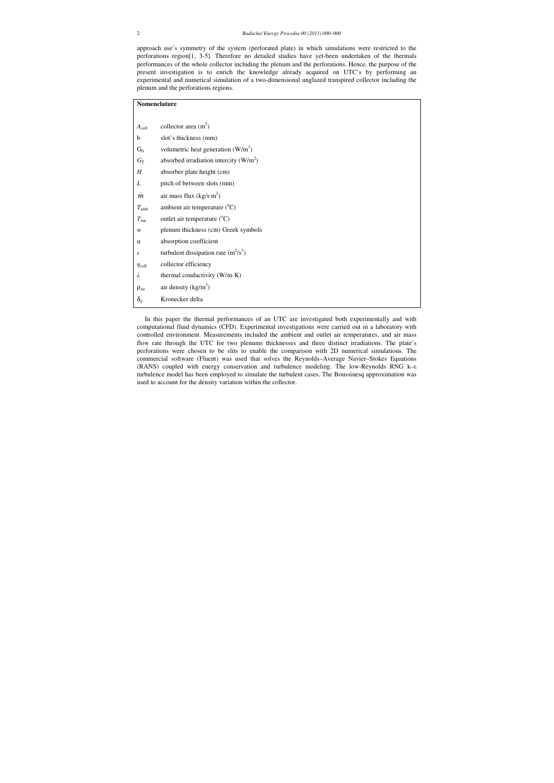approach use's symmetry of the system (perforated plate) in which simulations were restricted to the perforations region[1, 3-5]. Therefore no detailed studies have yet-been undertaken of the thermals performances of the whole collector including the plenum and the perforations. Hence, the purpose of the present investigation is to enrich the knowledge already acquired on UTC's by performing an experimental and numerical simulation of a two-dimensional unglazed transpired collector including the plenum and the perforations regions.

| Nomenclature         |                                          |  |  |  |
|----------------------|------------------------------------------|--|--|--|
|                      |                                          |  |  |  |
| $A_{\text{coll}}$    | collector area $(m2)$                    |  |  |  |
| b                    | slot's thickness (mm)                    |  |  |  |
| $G_0$                | volumetric heat generation $(W/m^3)$     |  |  |  |
| $G_{\rm T}$          | absorbed irradiation intercity $(W/m^2)$ |  |  |  |
| H                    | absorber plate height (cm)               |  |  |  |
| L                    | pitch of between slots (mm)              |  |  |  |
| $\dot{m}$            | air mass flux ( $kg/s·m2$ )              |  |  |  |
| $T_{\rm amb}$        | ambient air temperature $(^{\circ}C)$    |  |  |  |
| $T_{\text{out}}$     | outlet air temperature $({}^{\circ}C)$   |  |  |  |
| w                    | plenum thickness (cm) Greek symbols      |  |  |  |
| $\alpha$             | absorption coefficient                   |  |  |  |
| ε                    | turbulent dissipation rate $(m^2/s^3)$   |  |  |  |
| $\eta_{\text{coll}}$ | collector efficiency                     |  |  |  |
| λ                    | thermal conductivity (W/m·K)             |  |  |  |
| $\rho_{\text{air}}$  | air density $(kg/m3)$                    |  |  |  |
| $\delta_{ij}$        | Kronecker delta                          |  |  |  |

In this paper the thermal performances of an UTC are investigated both experimentally and with computational fluid dynamics (CFD). Experimental investigations were carried out in a laboratory with controlled environment. Measurements included the ambient and outlet air temperatures, and air mass flow rate through the UTC for two plenums thicknesses and three distinct irradiations. The plate's perforations were chosen to be slits to enable the comparison with 2D numerical simulations. The commercial software (Fluent) was used that solves the Reynolds–Average Navier–Stokes Equations (RANS) coupled with energy conservation and turbulence modeling. The low-Reynolds RNG k–ε turbulence model has been employed to simulate the turbulent cases. The Boussinesq approximation was used to account for the density variation within the collector.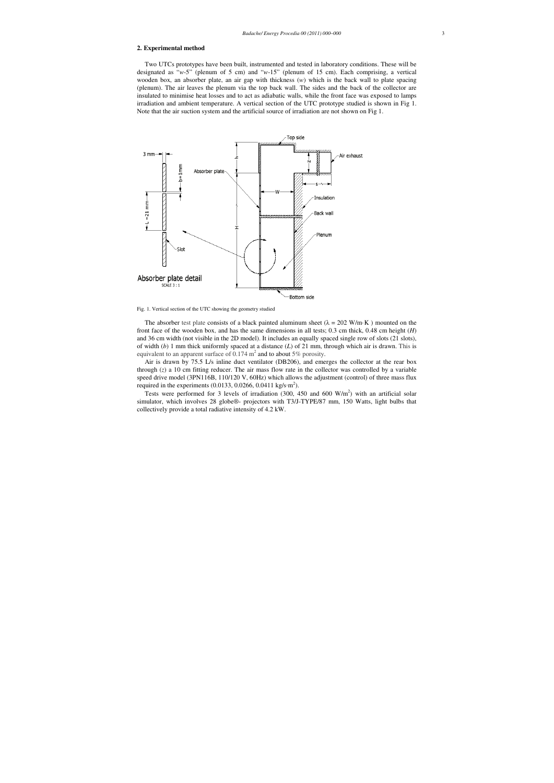# **2. Experimental method**

Two UTCs prototypes have been built, instrumented and tested in laboratory conditions. These will be designated as "*w*-5" (plenum of 5 cm) and "*w*-15" (plenum of 15 cm). Each comprising, a vertical wooden box, an absorber plate, an air gap with thickness (*w*) which is the back wall to plate spacing (plenum). The air leaves the plenum via the top back wall. The sides and the back of the collector are insulated to minimise heat losses and to act as adiabatic walls, while the front face was exposed to lamps irradiation and ambient temperature. A vertical section of the UTC prototype studied is shown in Fig 1. Note that the air suction system and the artificial source of irradiation are not shown on Fig 1.

Air is drawn by 75.5 L/s inline duct ventilator (DB206), and emerges the collector at the rear box through (*z*) a 10 cm fitting reducer. The air mass flow rate in the collector was controlled by a variable speed drive model (3PN116B, 110/120 V, 60Hz) which allows the adjustment (control) of three mass flux required in the experiments (0.0133, 0.0266, 0.0411 kg/s·m<sup>2</sup>).



Fig. 1. Vertical section of the UTC showing the geometry studied

The absorber test plate consists of a black painted aluminum sheet ( $\lambda = 202$  W/m·K) mounted on the front face of the wooden box, and has the same dimensions in all tests; 0.3 cm thick, 0.48 cm height (*H*) and 36 cm width (not visible in the 2D model). It includes an equally spaced single row of slots (21 slots), of width (*b*) 1 mm thick uniformly spaced at a distance (*L*) of 21 mm, through which air is drawn. This is equivalent to an apparent surface of 0.174  $m^2$  and to about 5% porosity.

Tests were performed for 3 levels of irradiation  $(300, 450, 450, 600, 600, 600)$  w/m<sup>2</sup>) with an artificial solar simulator, which involves 28 globe®- projectors with T3/J-TYPE/87 mm, 150 Watts, light bulbs that collectively provide a total radiative intensity of 4.2 kW.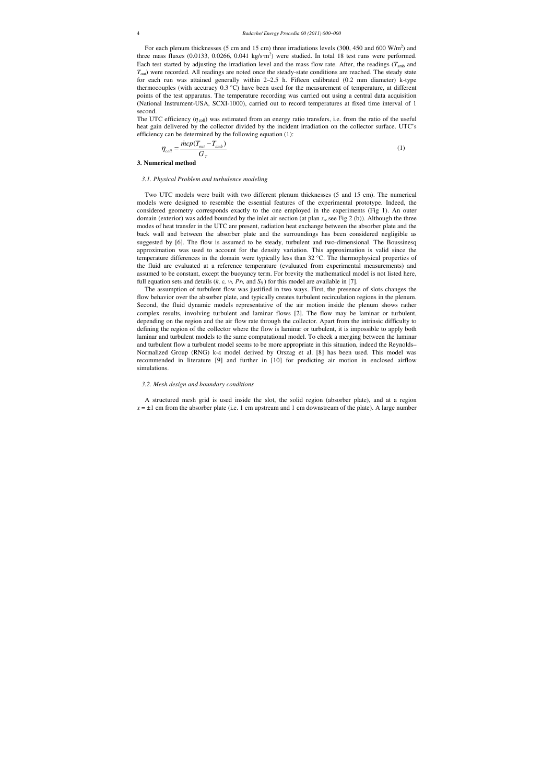For each plenum thicknesses (5 cm and 15 cm) three irradiations levels (300, 450 and 600  $W/m<sup>2</sup>$ ) and three mass fluxes (0.0133, 0.0266, 0.041 kg/s·m<sup>2</sup>) were studied. In total 18 test runs were performed. Each test started by adjusting the irradiation level and the mass flow rate. After, the readings (*T*amb and *T*out) were recorded. All readings are noted once the steady-state conditions are reached. The steady state for each run was attained generally within 2–2.5 h. Fifteen calibrated (0.2 mm diameter) k-type thermocouples (with accuracy 0.3 °C) have been used for the measurement of temperature, at different points of the test apparatus. The temperature recording was carried out using a central data acquisition (National Instrument-USA, SCXI-1000), carried out to record temperatures at fixed time interval of 1 second.

The UTC efficiency  $(\eta_{\text{coll}})$  was estimated from an energy ratio transfers, i.e. from the ratio of the useful heat gain delivered by the collector divided by the incident irradiation on the collector surface. UTC's efficiency can be determined by the following equation (1):

Two UTC models were built with two different plenum thicknesses (5 and 15 cm). The numerical models were designed to resemble the essential features of the experimental prototype. Indeed, the considered geometry corresponds exactly to the one employed in the experiments (Fig 1). An outer domain (exterior) was added bounded by the inlet air section (at plan *x*<sup>∞</sup> see Fig 2 (b)). Although the three modes of heat transfer in the UTC are present, radiation heat exchange between the absorber plate and the back wall and between the absorber plate and the surroundings has been considered negligible as suggested by [6]. The flow is assumed to be steady, turbulent and two-dimensional. The Boussinesq approximation was used to account for the density variation. This approximation is valid since the temperature differences in the domain were typically less than 32 °C. The thermophysical properties of the fluid are evaluated at a reference temperature (evaluated from experimental measurements) and assumed to be constant, except the buoyancy term. For brevity the mathematical model is not listed here, full equation sets and details ( $k$ ,  $\varepsilon$ ,  $v$ *t*,  $Pr$ *t*, and  $S$ *ij*) for this model are available in [7].

$$
\eta_{coll} = \frac{\text{incp}(T_{out} - T_{amb})}{G_T} \tag{1}
$$

**3. Numerical method** 

# *3.1. Physical Problem and turbulence modeling*

A structured mesh grid is used inside the slot, the solid region (absorber plate), and at a region  $x = \pm 1$  cm from the absorber plate (i.e. 1 cm upstream and 1 cm downstream of the plate). A large number

The assumption of turbulent flow was justified in two ways. First, the presence of slots changes the flow behavior over the absorber plate, and typically creates turbulent recirculation regions in the plenum. Second, the fluid dynamic models representative of the air motion inside the plenum shows rather complex results, involving turbulent and laminar flows [2]. The flow may be laminar or turbulent, depending on the region and the air flow rate through the collector. Apart from the intrinsic difficulty to defining the region of the collector where the flow is laminar or turbulent, it is impossible to apply both laminar and turbulent models to the same computational model. To check a merging between the laminar and turbulent flow a turbulent model seems to be more appropriate in this situation, indeed the Reynolds– Normalized Group (RNG) k-ε model derived by Orszag et al. [8] has been used. This model was recommended in literature [9] and further in [10] for predicting air motion in enclosed airflow simulations.

## *3.2. Mesh design and boundary conditions*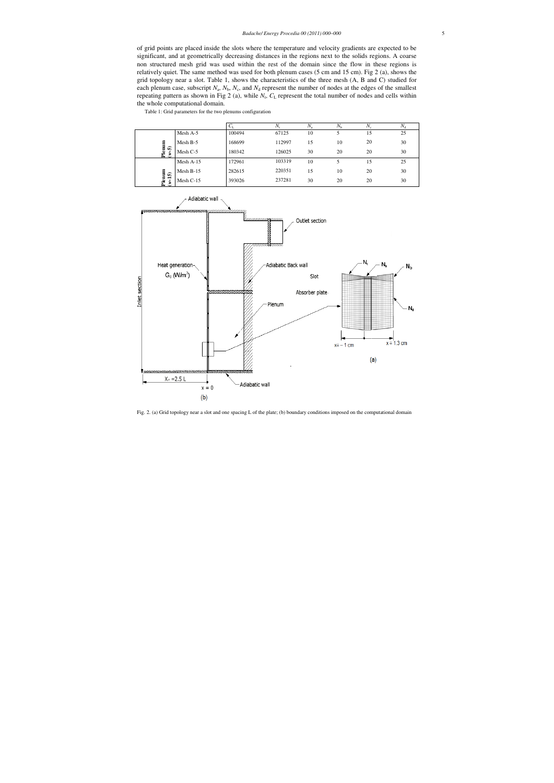of grid points are placed inside the slots where the temperature and velocity gradients are expected to be significant, and at geometrically decreasing distances in the regions next to the solids regions. A coarse non structured mesh grid was used within the rest of the domain since the flow in these regions is relatively quiet. The same method was used for both plenum cases (5 cm and 15 cm). Fig 2 (a), shows the grid topology near a slot. Table 1, shows the characteristics of the three mesh (A, B and C) studied for each plenum case, subscript  $N_a$ ,  $N_b$ ,  $N_c$ , and  $N_d$  represent the number of nodes at the edges of the smallest repeating pattern as shown in Fig 2 (a), while  $N_t$ ,  $C_L$  represent the total number of nodes and cells within the whole computational domain.

Table 1: Grid parameters for the two plenums configuration

|                                     |             | U.     | N,     | $N_{\rm a}$ | $N_{\rm b}$ | $N_c$ | $N_{\rm d}$ |
|-------------------------------------|-------------|--------|--------|-------------|-------------|-------|-------------|
|                                     | Mesh A-5    | 100494 | 67125  | 10          |             | 15    | 25          |
|                                     | Mesh B-5    | 168699 | 112997 | 15          | 10          | 20    | 30          |
| Plenum<br>ົດ<br>$\ddot{\mathbf{z}}$ | Mesh C-5    | 180342 | 126025 | 30          | 20          | 20    | 30          |
|                                     | Mesh $A-15$ | 172961 | 103319 | 10          |             | 15    | 25          |
|                                     | Mesh $B-15$ | 282615 | 220351 | 15          | 10          | 20    | 30          |
| Plenum<br>$(w-15)$                  | Mesh $C-15$ | 393026 | 237281 | 30          | 20          | 20    | 30          |
|                                     |             |        |        |             |             |       |             |



Fig. 2. (a) Grid topology near a slot and one spacing L of the plate; (b) boundary conditions imposed on the computational domain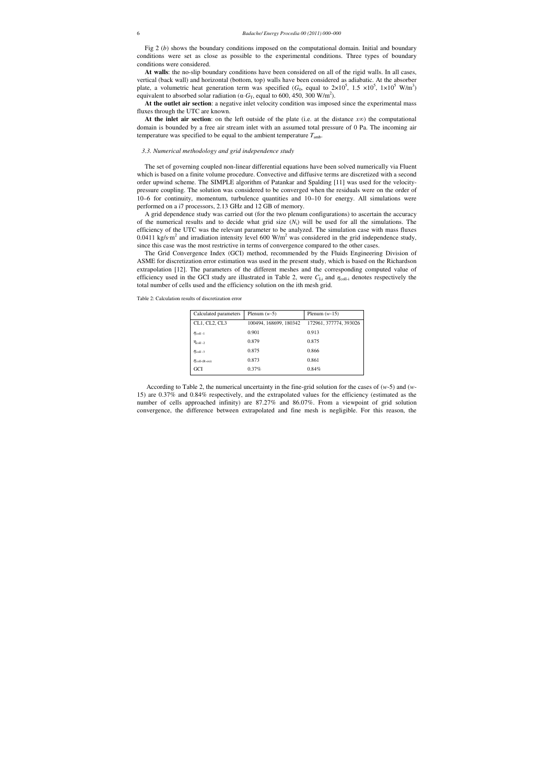Fig 2 (*b*) shows the boundary conditions imposed on the computational domain. Initial and boundary conditions were set as close as possible to the experimental conditions. Three types of boundary conditions were considered.

**At walls**: the no-slip boundary conditions have been considered on all of the rigid walls. In all cases, vertical (back wall) and horizontal (bottom, top) walls have been considered as adiabatic. At the absorber plate, a volumetric heat generation term was specified  $(G_0,$  equal to  $2\times10^5$ ,  $1.5\times10^5$ ,  $1\times10^5$  W/m<sup>3</sup>) equivalent to absorbed solar radiation ( $\alpha$ ·*G*<sub>T</sub>, equal to 600, 450, 300 W/m<sup>2</sup>).

**At the inlet air section**: on the left outside of the plate (i.e. at the distance *x*∞) the computational domain is bounded by a free air stream inlet with an assumed total pressure of 0 Pa. The incoming air temperature was specified to be equal to the ambient temperature  $T_{\text{amb}}$ .

**At the outlet air section**: a negative inlet velocity condition was imposed since the experimental mass fluxes through the UTC are known.

#### *3.3. Numerical methodology and grid independence study*

The set of governing coupled non-linear differential equations have been solved numerically via Fluent which is based on a finite volume procedure. Convective and diffusive terms are discretized with a second order upwind scheme. The SIMPLE algorithm of Patankar and Spalding [11] was used for the velocitypressure coupling. The solution was considered to be converged when the residuals were on the order of 10–6 for continuity, momentum, turbulence quantities and 10–10 for energy. All simulations were performed on a i7 processors, 2.13 GHz and 12 GB of memory.

A grid dependence study was carried out (for the two plenum configurations) to ascertain the accuracy of the numerical results and to decide what grid size  $(N_t)$  will be used for all the simulations. The efficiency of the UTC was the relevant parameter to be analyzed. The simulation case with mass fluxes 0.0411 kg/s·m<sup>2</sup> and irradiation intensity level 600 W/m<sup>2</sup> was considered in the grid independence study, since this case was the most restrictive in terms of convergence compared to the other cases.

The Grid Convergence Index (GCI) method, recommended by the Fluids Engineering Division of ASME for discretization error estimation was used in the present study, which is based on the Richardson extrapolation [12]. The parameters of the different meshes and the corresponding computed value of efficiency used in the GCI study are illustrated in Table 2, were  $C_{Li}$  and  $\eta_{coll-i}$  denotes respectively the total number of cells used and the efficiency solution on the ith mesh grid.

Table 2: Calculation results of discretization error

| Calculated parameters        | Plenum $(w-5)$         | Plenum $(w-15)$        |
|------------------------------|------------------------|------------------------|
| CL1, CL2, CL3                | 100494, 168699, 180342 | 172961, 377774, 393026 |
| $\eta_{\text{coll-1}}$       | 0.901                  | 0.913                  |
| $\eta_{\text{coll }-2}$      | 0.879                  | 0.875                  |
| $\eta_{\text{coll-3}}$       | 0.875                  | 0.866                  |
| $\eta_{\text{coll-(R-ext)}}$ | 0.873                  | 0.861                  |
| GCI                          | 0.37%                  | 0.84%                  |

 According to Table 2, the numerical uncertainty in the fine-grid solution for the cases of (*w*-5) and (*w*-15) are 0.37% and 0.84% respectively, and the extrapolated values for the efficiency (estimated as the number of cells approached infinity) are 87.27% and 86.07%. From a viewpoint of grid solution convergence, the difference between extrapolated and fine mesh is negligible. For this reason, the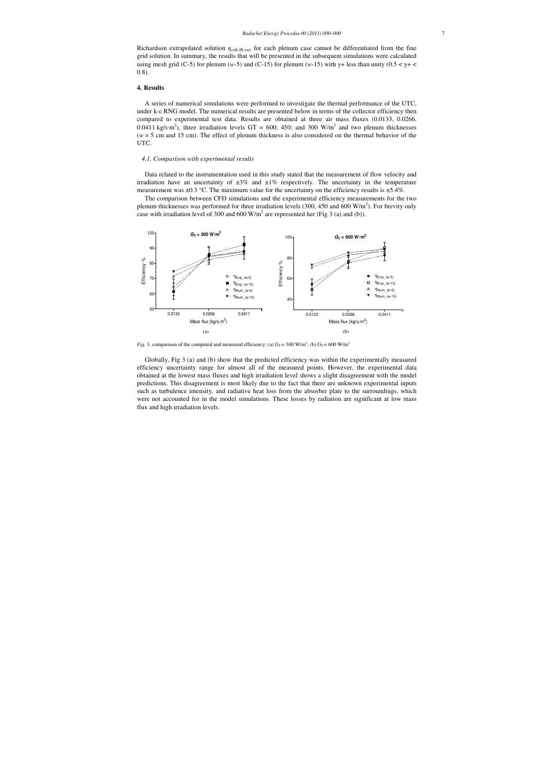Richardson extrapolated solution  $\eta_{\text{coll-}(R\text{-}ext)}$  for each plenum case cannot be differentiated from the fine grid solution. In summary, the results that will be presented in the subsequent simulations were calculated using mesh grid (C-5) for plenum ( $w$ -5) and (C-15) for plenum ( $w$ -15) with y+ less than unity ( $0.5 < y + <$ 0.8).

#### **4. Results**

Data related to the instrumentation used in this study stated that the measurement of flow velocity and irradiation have an uncertainty of  $\pm 3\%$  and  $\pm 1\%$  respectively. The uncertainty in the temperature measurement was  $\pm 0.3$  °C. The maximum value for the uncertainty on the efficiency results is  $\pm 5.4\%$ .

The comparison between CFD simulations and the experimental efficiency measurements for the two plenum thicknesses was performed for three irradiation levels (300, 450 and 600  $W/m<sup>2</sup>$ ). For brevity only case with irradiation level of 300 and 600  $W/m^2$  are represented her (Fig 3 (a) and (b)).

A series of numerical simulations were performed to investigate the thermal performance of the UTC, under k-ε RNG model. The numerical results are presented below in terms of the collector efficiency then compared to experimental test data. Results are obtained at three air mass fluxes (0.0133, 0.0266, 0.0411 kg/s·m<sup>2</sup>), three irradiation levels GT = 600; 450; and 300 W/m<sup>2</sup> and two plenum thicknesses (*w* = 5 cm and 15 cm). The effect of plenum thickness is also considered on the thermal behavior of the UTC.



*Fig.* 3. comparison of the computed and measured efficiency; (a)  $G_T = 300$  W/m<sup>2</sup>; (b)  $G_T = 600$  W/m<sup>2</sup>

# *4.1. Comparison with experimental results*

Globally, Fig 3 (a) and (b) show that the predicted efficiency was within the experimentally measured efficiency uncertainty range for almost all of the measured points. However, the experimental data obtained at the lowest mass fluxes and high irradiation level shows a slight disagreement with the model predictions. This disagreement is most likely due to the fact that there are unknown experimental inputs such as turbulence intensity, and radiative heat loss from the absorber plate to the surroundings, which were not accounted for in the model simulations. These losses by radiation are significant at low mass flux and high irradiation levels.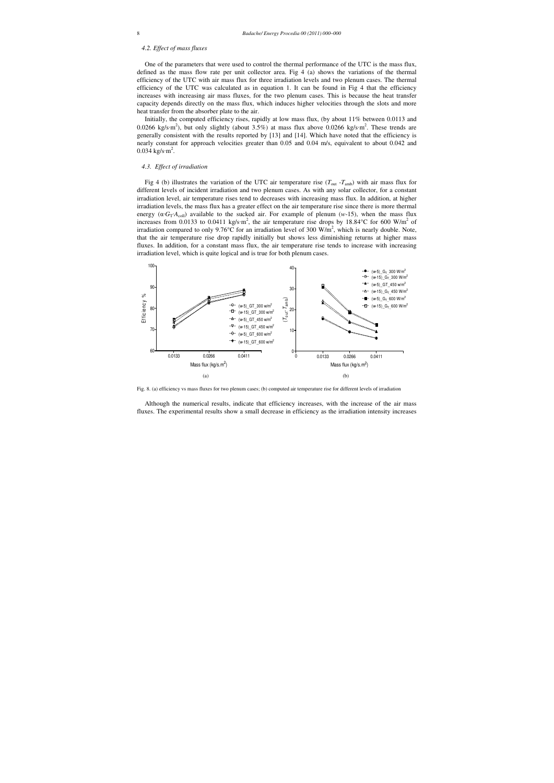# *4.2. Effect of mass fluxes*

Initially, the computed efficiency rises, rapidly at low mass flux, (by about 11% between 0.0113 and 0.0266 kg/s·m<sup>2</sup>), but only slightly (about 3.5%) at mass flux above 0.0266 kg/s·m<sup>2</sup>. These trends are generally consistent with the results reported by [13] and [14]. Which have noted that the efficiency is nearly constant for approach velocities greater than 0.05 and 0.04 m/s, equivalent to about 0.042 and  $0.034 \text{ kg/s} \cdot \text{m}^2$ .

One of the parameters that were used to control the thermal performance of the UTC is the mass flux, defined as the mass flow rate per unit collector area. Fig 4 (a) shows the variations of the thermal efficiency of the UTC with air mass flux for three irradiation levels and two plenum cases. The thermal efficiency of the UTC was calculated as in equation 1. It can be found in Fig 4 that the efficiency increases with increasing air mass fluxes, for the two plenum cases. This is because the heat transfer capacity depends directly on the mass flux, which induces higher velocities through the slots and more heat transfer from the absorber plate to the air.

Fig 4 (b) illustrates the variation of the UTC air temperature rise  $(T_{\text{out}} - T_{\text{amb}})$  with air mass flux for different levels of incident irradiation and two plenum cases. As with any solar collector, for a constant irradiation level, air temperature rises tend to decreases with increasing mass flux. In addition, at higher irradiation levels, the mass flux has a greater effect on the air temperature rise since there is more thermal energy ( $\alpha G_T A_{\text{coll}}$ ) available to the sucked air. For example of plenum (*w*-15), when the mass flux increases from 0.0133 to 0.0411 kg/s·m<sup>2</sup>, the air temperature rise drops by 18.84°C for 600 W/m<sup>2</sup> of irradiation compared to only 9.76°C for an irradiation level of 300 W/m<sup>2</sup>, which is nearly double. Note, that the air temperature rise drop rapidly initially but shows less diminishing returns at higher mass fluxes. In addition, for a constant mass flux, the air temperature rise tends to increase with increasing irradiation level, which is quite logical and is true for both plenum cases.

# *4.3. Effect of irradiation*



Fig. 8. (a) efficiency vs mass fluxes for two plenum cases; (b) computed air temperature rise for different levels of irradiation

Although the numerical results, indicate that efficiency increases, with the increase of the air mass fluxes. The experimental results show a small decrease in efficiency as the irradiation intensity increases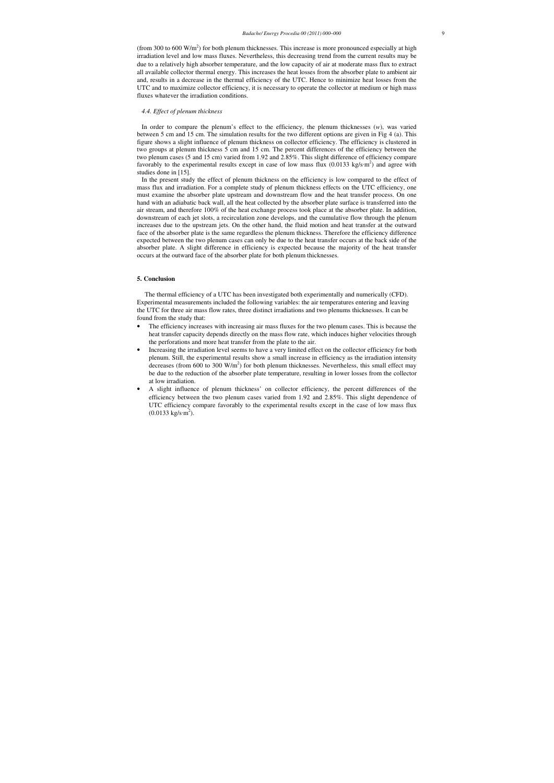(from 300 to 600  $W/m<sup>2</sup>$ ) for both plenum thicknesses. This increase is more pronounced especially at high irradiation level and low mass fluxes. Nevertheless, this decreasing trend from the current results may be due to a relatively high absorber temperature, and the low capacity of air at moderate mass flux to extract all available collector thermal energy. This increases the heat losses from the absorber plate to ambient air and, results in a decrease in the thermal efficiency of the UTC. Hence to minimize heat losses from the UTC and to maximize collector efficiency, it is necessary to operate the collector at medium or high mass fluxes whatever the irradiation conditions.

#### *4.4. Effect of plenum thickness*

In order to compare the plenum's effect to the efficiency, the plenum thicknesses (*w*), was varied between 5 cm and 15 cm. The simulation results for the two different options are given in Fig 4 (a). This figure shows a slight influence of plenum thickness on collector efficiency. The efficiency is clustered in two groups at plenum thickness 5 cm and 15 cm. The percent differences of the efficiency between the two plenum cases (5 and 15 cm) varied from 1.92 and 2.85%. This slight difference of efficiency compare favorably to the experimental results except in case of low mass flux  $(0.0133 \text{ kg/s} \cdot \text{m}^2)$  and agree with studies done in [15].

In the present study the effect of plenum thickness on the efficiency is low compared to the effect of mass flux and irradiation. For a complete study of plenum thickness effects on the UTC efficiency, one must examine the absorber plate upstream and downstream flow and the heat transfer process. On one hand with an adiabatic back wall, all the heat collected by the absorber plate surface is transferred into the air stream, and therefore 100% of the heat exchange process took place at the absorber plate. In addition, downstream of each jet slots, a recirculation zone develops, and the cumulative flow through the plenum increases due to the upstream jets. On the other hand, the fluid motion and heat transfer at the outward face of the absorber plate is the same regardless the plenum thickness. Therefore the efficiency difference expected between the two plenum cases can only be due to the heat transfer occurs at the back side of the absorber plate. A slight difference in efficiency is expected because the majority of the heat transfer occurs at the outward face of the absorber plate for both plenum thicknesses.

# **5. Conclusion**

The thermal efficiency of a UTC has been investigated both experimentally and numerically (CFD). Experimental measurements included the following variables: the air temperatures entering and leaving the UTC for three air mass flow rates, three distinct irradiations and two plenums thicknesses. It can be found from the study that:

- The efficiency increases with increasing air mass fluxes for the two plenum cases. This is because the heat transfer capacity depends directly on the mass flow rate, which induces higher velocities through the perforations and more heat transfer from the plate to the air.
- Increasing the irradiation level seems to have a very limited effect on the collector efficiency for both plenum. Still, the experimental results show a small increase in efficiency as the irradiation intensity decreases (from 600 to 300  $W/m<sup>2</sup>$ ) for both plenum thicknesses. Nevertheless, this small effect may be due to the reduction of the absorber plate temperature, resulting in lower losses from the collector at low irradiation.
- A slight influence of plenum thickness' on collector efficiency, the percent differences of the efficiency between the two plenum cases varied from 1.92 and 2.85%. This slight dependence of UTC efficiency compare favorably to the experimental results except in the case of low mass flux  $(0.0133 \text{ kg/s} \cdot \text{m}^2)$ .